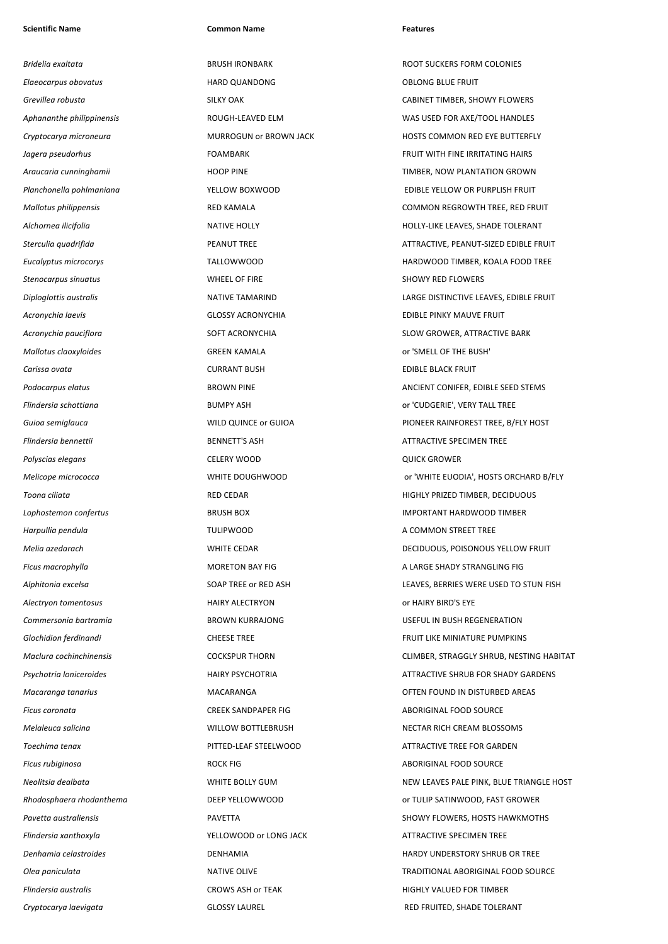## **Scientific Name Common Name Features**

*Bridelia exaltata* BRUSH IRONBARK ROOT SUCKERS FORM COLONIES *Elaeocarpus obovatus* HARD QUANDONG OBLONG BLUE FRUIT **Stenocarpus sinuatus** and the stenocarpus sinuatus and the set of the SHOWY RED FLOWERS SHOWY RED FLOWERS *Acronychia laevis* GLOSSY ACRONYCHIA EDIBLE PINKY MAUVE FRUIT *Mallotus claoxyloides* GREEN KAMALA or 'SMELL OF THE BUSH' *Carissa ovata* CURRANT BUSH EDIBLE BLACK FRUIT **Flindersia bennettii BENNETT'S ASH** BENNETT'S ASH ATTRACTIVE SPECIMEN TREE **Polyscias elegans CELERY WOOD CELERY WOOD CELERY OPERATION QUICK GROWER** *Harpullia pendula* **A COMMON STREET TREE** *Alectryon tomentosus* HAIRY ALECTRYON or HAIRY BIRD'S EYE **Ficus coronata** CREEK SANDPAPER FIG ABORIGINAL FOOD SOURCE **Ficus rubiginosa ROCK FIG ROCK FIG ABORIGINAL FOOD SOURCE Flindersia xanthoxyla XELLOWOOD or LONG JACK** ATTRACTIVE SPECIMEN TREE **Flindersia australis CROWS ASH or TEAK CROWS ASH OF TEAK** HIGHLY VALUED FOR TIMBER

**Grevillea robusta SILKY OAK** SILKY OAK **CABINET TIMBER, SHOWY FLOWERS** *Aphananthe philippinensis* ROUGH-LEAVED ELM WAS USED FOR AXE/TOOL HANDLES **Cryptocarya microneura MURROGUN or BROWN JACK HOSTS COMMON RED EYE BUTTERFLY** *Jagera pseudorhus* FOAMBARK FOAMBARK FRUIT WITH FINE IRRITATING HAIRS *Araucaria cunninghamii* HOOP PINE TIMBER, NOW PLANTATION GROWN *Planchonella pohlmaniana* YELLOW BOXWOOD EDIBLE YELLOW OR PURPLISH FRUIT *Mallotus philippensis* RED KAMALA COMMON REGROWTH TREE, RED FRUIT *Alchornea ilicifolia* NATIVE HOLLY HOLLY-LIKE LEAVES, SHADE TOLERANT **Sterculia quadrifida PEANUT TREE PEANUT TREE** ATTRACTIVE, PEANUT-SIZED EDIBLE FRUIT *Eucalyptus microcorys* TALLOWWOOD HARDWOOD TIMBER, KOALA FOOD TREE *Diploglottis australis* NATIVE TAMARIND LARGE DISTINCTIVE LEAVES, EDIBLE FRUIT Acronychia pauciflora **SCILLO ACCONTEGAT ACRONYCHIA** SOFT ACRONYCHIA SLOW GROWER, ATTRACTIVE BARK **Podocarpus elatus BROWN PINE** BROWN PINE **ANCIENT CONIFER, EDIBLE SEED STEMS** *Flindersia schottiana* BUMPY ASH or 'CUDGERIE', VERY TALL TREE *Guioa semiglauca* WILD QUINCE or GUIOA PIONEER RAINFOREST TREE, B/FLY HOST *Melicope micrococca* WHITE DOUGHWOOD or 'WHITE EUODIA', HOSTS ORCHARD B/FLY **Toona ciliata RED CEDAR** RED CEDAR **RED CEDAR RED CEDAR HIGHLY PRIZED TIMBER, DECIDUOUS** *Lophostemon confertus* BRUSH BOX IMPORTANT HARDWOOD TIMBER *Melia azedarach* WHITE CEDAR DECIDUOUS, POISONOUS YELLOW FRUIT **Ficus macrophylla MORETON BAY FIG MORETON BAY FIG** A LARGE SHADY STRANGLING FIG *Alphitonia excelsa* SOAP TREE or RED ASH LEAVES, BERRIES WERE USED TO STUN FISH *Commersonia bartramia* BROWN KURRAJONG USEFUL IN BUSH REGENERATION **Glochidion ferdinandi CHEESE TREE FRUIT LIKE MINIATURE PUMPKINS CHEESE TREE FRUIT LIKE MINIATURE PUMPKINS** *Maclura cochinchinensis* COCKSPUR THORN CLIMBER, STRAGGLY SHRUB, NESTING HABITAT *Psychotria loniceroides* HAIRY PSYCHOTRIA ATTRACTIVE SHRUB FOR SHADY GARDENS *Macaranga tanarius* MACARANGA OFTEN FOUND IN DISTURBED AREAS *Melaleuca salicina* WILLOW BOTTLEBRUSH NECTAR RICH CREAM BLOSSOMS **Toechima tenax PITTED-LEAF STEELWOOD** ATTRACTIVE TREE FOR GARDEN *Neolitsia dealbata* WHITE BOLLY GUM NEW LEAVES PALE PINK, BLUE TRIANGLE HOST *Rhodosphaera rhodanthema* DEEP YELLOWWOOD or TULIP SATINWOOD, FAST GROWER *Pavetta australiensis* PAVETTA SHOWY FLOWERS, HOSTS HAWKMOTHS *Denhamia celastroides* DENHAMIA HARDY UNDERSTORY SHRUB OR TREE *Olea paniculata* NATIVE OLIVE TRADITIONAL ABORIGINAL FOOD SOURCE *Cryptocarya laevigata* GLOSSY LAUREL RED FRUITED, SHADE TOLERANT